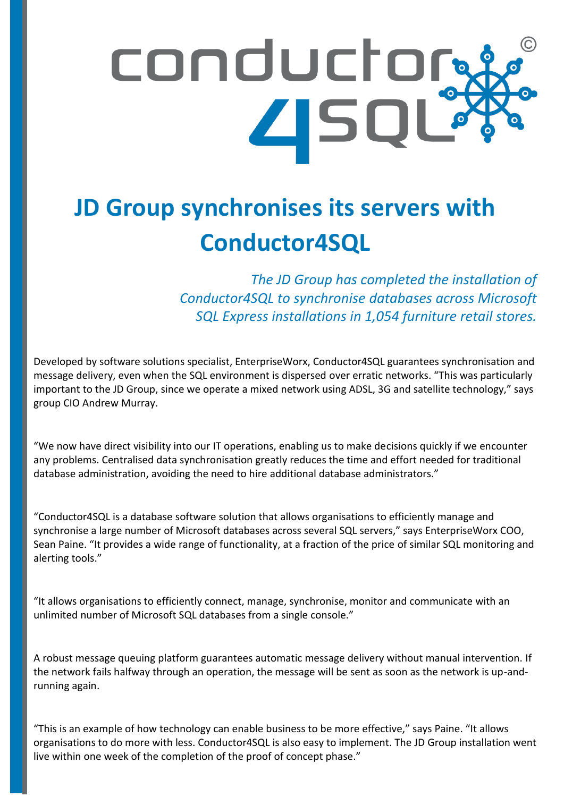## conductor **ASQL**

## **JD Group synchronises its servers with Conductor4SQL**

*The JD Group has completed the installation of Conductor4SQL to synchronise databases across Microsoft SQL Express installations in 1,054 furniture retail stores.*

Developed by software solutions specialist, EnterpriseWorx, Conductor4SQL guarantees synchronisation and<br>message delivery, even when the SQL environment is dispersed over erratic networks. "This was particularly message delivery, even when the SQL environment is dispersed over erratic networks. "This was particularly important to the JD Group, since we operate a mixed network using ADSL, 3G and satellite technology," says group CIO Andrew Murray.

"We now have direct visibility into our IT operations, enabling us to make decisions quickly if we encounter any problems. Centralised data synchronisation greatly reduces the time and effort needed for traditional database administration, avoiding the need to hire additional database administrators."

"Conductor4SQL is a database software solution that allows organisations to efficiently manage and synchronise a large number of Microsoft databases across several SQL servers," says EnterpriseWorx COO, Sean Paine. "It provides a wide range of functionality, at a fraction of the price of similar SQL monitoring and alerting tools."

"It allows organisations to efficiently connect, manage, synchronise, monitor and communicate with an unlimited number of Microsoft SQL databases from a single console."

A robust message queuing platform guarantees automatic message delivery without manual intervention. If the network fails halfway through an operation, the message will be sent as soon as the network is up-andrunning again.

"This is an example of how technology can enable business to be more effective," says Paine. "It allows organisations to do more with less. Conductor4SQL is also easy to implement. The JD Group installation went live within one week of the completion of the proof of concept phase."